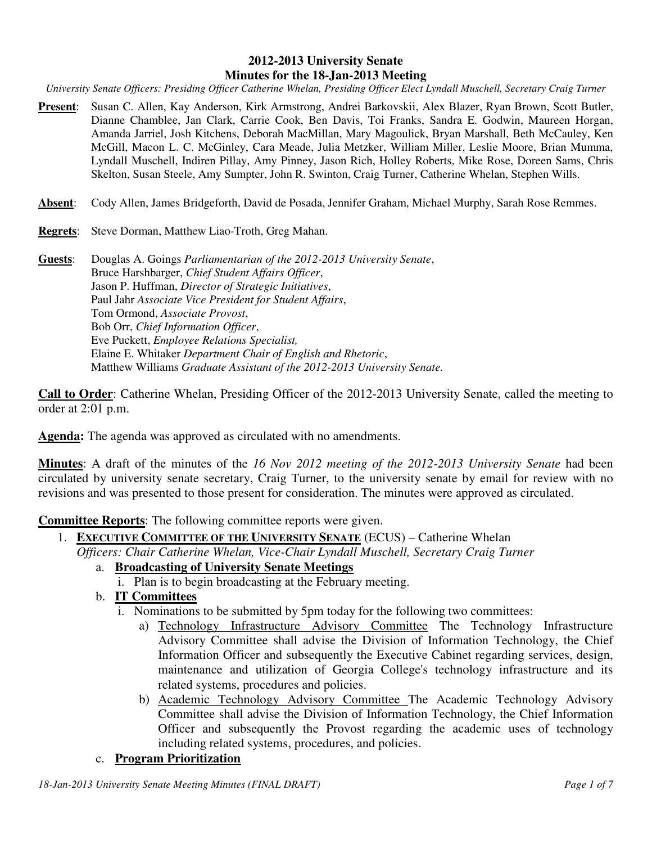### **2012-2013 University Senate Minutes for the 18-Jan-2013 Meeting**

*University Senate Officers: Presiding Officer Catherine Whelan, Presiding Officer Elect Lyndall Muschell, Secretary Craig Turner* 

- **Present**: Susan C. Allen, Kay Anderson, Kirk Armstrong, Andrei Barkovskii, Alex Blazer, Ryan Brown, Scott Butler, Dianne Chamblee, Jan Clark, Carrie Cook, Ben Davis, Toi Franks, Sandra E. Godwin, Maureen Horgan, Amanda Jarriel, Josh Kitchens, Deborah MacMillan, Mary Magoulick, Bryan Marshall, Beth McCauley, Ken McGill, Macon L. C. McGinley, Cara Meade, Julia Metzker, William Miller, Leslie Moore, Brian Mumma, Lyndall Muschell, Indiren Pillay, Amy Pinney, Jason Rich, Holley Roberts, Mike Rose, Doreen Sams, Chris Skelton, Susan Steele, Amy Sumpter, John R. Swinton, Craig Turner, Catherine Whelan, Stephen Wills.
- **Absent**: Cody Allen, James Bridgeforth, David de Posada, Jennifer Graham, Michael Murphy, Sarah Rose Remmes.
- **Regrets**: Steve Dorman, Matthew Liao-Troth, Greg Mahan.

**Guests**: Douglas A. Goings *Parliamentarian of the 2012-2013 University Senate*, Bruce Harshbarger, *Chief Student Affairs Officer*, Jason P. Huffman, *Director of Strategic Initiatives*, Paul Jahr *Associate Vice President for Student Affairs*, Tom Ormond, *Associate Provost*, Bob Orr, *Chief Information Officer*, Eve Puckett, *Employee Relations Specialist,* Elaine E. Whitaker *Department Chair of English and Rhetoric*, Matthew Williams *Graduate Assistant of the 2012-2013 University Senate.*

**Call to Order**: Catherine Whelan, Presiding Officer of the 2012-2013 University Senate, called the meeting to order at 2:01 p.m.

**Agenda:** The agenda was approved as circulated with no amendments.

**Minutes**: A draft of the minutes of the *16 Nov 2012 meeting of the 2012-2013 University Senate* had been circulated by university senate secretary, Craig Turner, to the university senate by email for review with no revisions and was presented to those present for consideration. The minutes were approved as circulated.

**Committee Reports**: The following committee reports were given.

- 1. **EXECUTIVE COMMITTEE OF THE UNIVERSITY SENATE** (ECUS) Catherine Whelan *Officers: Chair Catherine Whelan, Vice-Chair Lyndall Muschell, Secretary Craig Turner*
	- a. **Broadcasting of University Senate Meetings**
		- i. Plan is to begin broadcasting at the February meeting.
	- b. **IT Committees**
		- i. Nominations to be submitted by 5pm today for the following two committees:
			- a) Technology Infrastructure Advisory Committee The Technology Infrastructure Advisory Committee shall advise the Division of Information Technology, the Chief Information Officer and subsequently the Executive Cabinet regarding services, design, maintenance and utilization of Georgia College's technology infrastructure and its related systems, procedures and policies.
			- b) Academic Technology Advisory Committee The Academic Technology Advisory Committee shall advise the Division of Information Technology, the Chief Information Officer and subsequently the Provost regarding the academic uses of technology including related systems, procedures, and policies.

### c. **Program Prioritization**

*18-Jan-2013 University Senate Meeting Minutes (FINAL DRAFT) Page 1 of 7*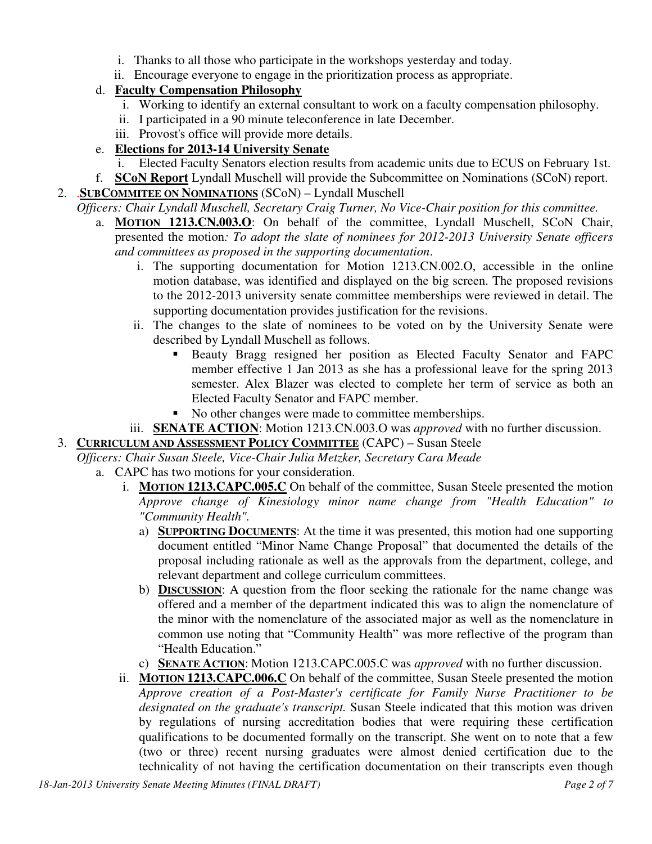- i. Thanks to all those who participate in the workshops yesterday and today.
- ii. Encourage everyone to engage in the prioritization process as appropriate.
- d. **Faculty Compensation Philosophy**
	- i. Working to identify an external consultant to work on a faculty compensation philosophy.
	- ii. I participated in a 90 minute teleconference in late December.
	- iii. Provost's office will provide more details.

# e. **Elections for 2013-14 University Senate**

- i. Elected Faculty Senators election results from academic units due to ECUS on February 1st.
- f. **SCoN Report** Lyndall Muschell will provide the Subcommittee on Nominations (SCoN) report. 2. .**SUBCOMMITEE ON NOMINATIONS** (SCoN) – Lyndall Muschell
	- *Officers: Chair Lyndall Muschell, Secretary Craig Turner, No Vice-Chair position for this committee.*
		- a. **MOTION 1213.CN.003.O**: On behalf of the committee, Lyndall Muschell, SCoN Chair, presented the motion*: To adopt the slate of nominees for 2012-2013 University Senate officers and committees as proposed in the supporting documentation*.
			- i. The supporting documentation for Motion 1213.CN.002.O, accessible in the online motion database, was identified and displayed on the big screen. The proposed revisions to the 2012-2013 university senate committee memberships were reviewed in detail. The supporting documentation provides justification for the revisions.
			- ii. The changes to the slate of nominees to be voted on by the University Senate were described by Lyndall Muschell as follows.
				- Beauty Bragg resigned her position as Elected Faculty Senator and FAPC member effective 1 Jan 2013 as she has a professional leave for the spring 2013 semester. Alex Blazer was elected to complete her term of service as both an Elected Faculty Senator and FAPC member.
				- No other changes were made to committee memberships.
			- iii. **SENATE ACTION**: Motion 1213.CN.003.O was *approved* with no further discussion.

# 3. **CURRICULUM AND ASSESSMENT POLICY COMMITTEE** (CAPC) – Susan Steele

*Officers: Chair Susan Steele, Vice-Chair Julia Metzker, Secretary Cara Meade*

- a. CAPC has two motions for your consideration.
	- i. **MOTION 1213.CAPC.005.C** On behalf of the committee, Susan Steele presented the motion *Approve change of Kinesiology minor name change from "Health Education" to "Community Health".*
		- a) **SUPPORTING DOCUMENTS**: At the time it was presented, this motion had one supporting document entitled "Minor Name Change Proposal" that documented the details of the proposal including rationale as well as the approvals from the department, college, and relevant department and college curriculum committees.
		- b) **DISCUSSION**: A question from the floor seeking the rationale for the name change was offered and a member of the department indicated this was to align the nomenclature of the minor with the nomenclature of the associated major as well as the nomenclature in common use noting that "Community Health" was more reflective of the program than "Health Education."
		- c) **SENATE ACTION**: Motion 1213.CAPC.005.C was *approved* with no further discussion.
	- ii. **MOTION 1213.CAPC.006.C** On behalf of the committee, Susan Steele presented the motion *Approve creation of a Post-Master's certificate for Family Nurse Practitioner to be designated on the graduate's transcript.* Susan Steele indicated that this motion was driven by regulations of nursing accreditation bodies that were requiring these certification qualifications to be documented formally on the transcript. She went on to note that a few (two or three) recent nursing graduates were almost denied certification due to the technicality of not having the certification documentation on their transcripts even though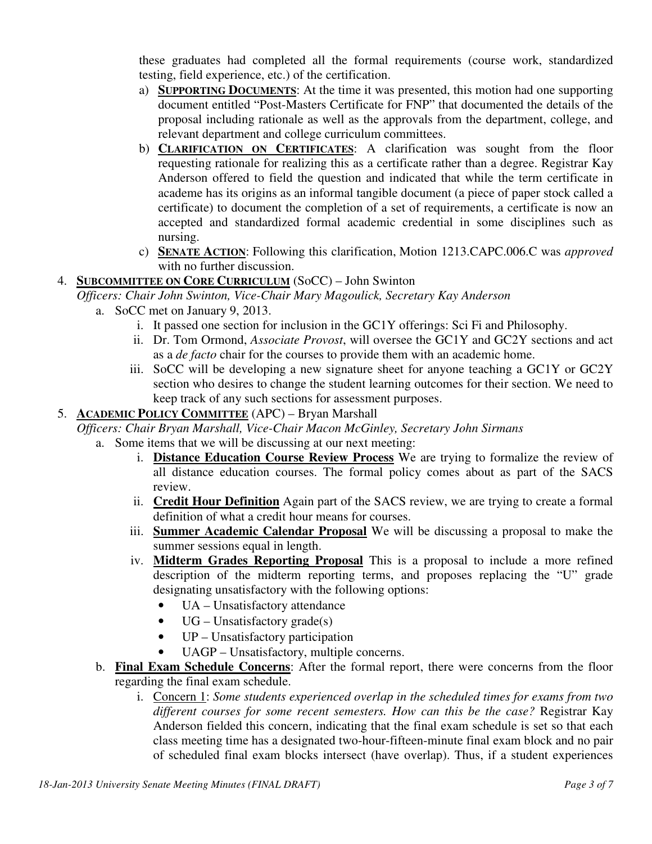these graduates had completed all the formal requirements (course work, standardized testing, field experience, etc.) of the certification.

- a) **SUPPORTING DOCUMENTS**: At the time it was presented, this motion had one supporting document entitled "Post-Masters Certificate for FNP" that documented the details of the proposal including rationale as well as the approvals from the department, college, and relevant department and college curriculum committees.
- b) **CLARIFICATION ON CERTIFICATES**: A clarification was sought from the floor requesting rationale for realizing this as a certificate rather than a degree. Registrar Kay Anderson offered to field the question and indicated that while the term certificate in academe has its origins as an informal tangible document (a piece of paper stock called a certificate) to document the completion of a set of requirements, a certificate is now an accepted and standardized formal academic credential in some disciplines such as nursing.
- c) **SENATE ACTION**: Following this clarification, Motion 1213.CAPC.006.C was *approved* with no further discussion.

# 4. **SUBCOMMITTEE ON CORE CURRICULUM** (SoCC) – John Swinton

- *Officers: Chair John Swinton, Vice-Chair Mary Magoulick, Secretary Kay Anderson*
	- a. SoCC met on January 9, 2013.
		- i. It passed one section for inclusion in the GC1Y offerings: Sci Fi and Philosophy.
		- ii. Dr. Tom Ormond, *Associate Provost*, will oversee the GC1Y and GC2Y sections and act as a *de facto* chair for the courses to provide them with an academic home.
		- iii. SoCC will be developing a new signature sheet for anyone teaching a GC1Y or GC2Y section who desires to change the student learning outcomes for their section. We need to keep track of any such sections for assessment purposes.

## 5. **ACADEMIC POLICY COMMITTEE** (APC) – Bryan Marshall

### *Officers: Chair Bryan Marshall, Vice-Chair Macon McGinley, Secretary John Sirmans*

- a. Some items that we will be discussing at our next meeting:
	- i. **Distance Education Course Review Process** We are trying to formalize the review of all distance education courses. The formal policy comes about as part of the SACS review.
	- ii. **Credit Hour Definition** Again part of the SACS review, we are trying to create a formal definition of what a credit hour means for courses.
	- iii. **Summer Academic Calendar Proposal** We will be discussing a proposal to make the summer sessions equal in length.
	- iv. **Midterm Grades Reporting Proposal** This is a proposal to include a more refined description of the midterm reporting terms, and proposes replacing the "U" grade designating unsatisfactory with the following options:
		- UA Unsatisfactory attendance
		- $\bullet$  UG Unsatisfactory grade(s)
		- UP Unsatisfactory participation
		- UAGP Unsatisfactory, multiple concerns.
- b. **Final Exam Schedule Concerns**: After the formal report, there were concerns from the floor regarding the final exam schedule.
	- i. Concern 1: *Some students experienced overlap in the scheduled times for exams from two different courses for some recent semesters. How can this be the case?* Registrar Kay Anderson fielded this concern, indicating that the final exam schedule is set so that each class meeting time has a designated two-hour-fifteen-minute final exam block and no pair of scheduled final exam blocks intersect (have overlap). Thus, if a student experiences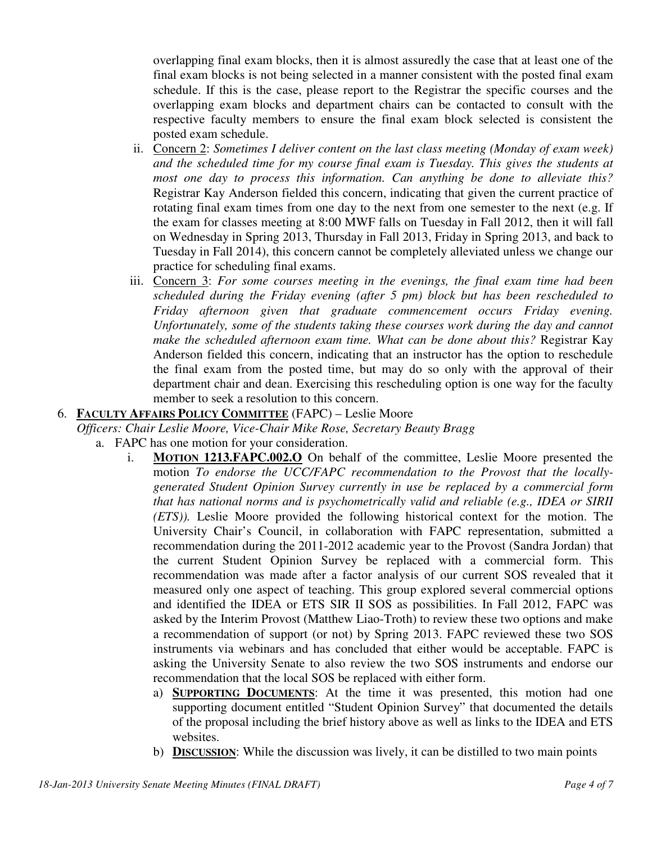overlapping final exam blocks, then it is almost assuredly the case that at least one of the final exam blocks is not being selected in a manner consistent with the posted final exam schedule. If this is the case, please report to the Registrar the specific courses and the overlapping exam blocks and department chairs can be contacted to consult with the respective faculty members to ensure the final exam block selected is consistent the posted exam schedule.

- ii. Concern 2: *Sometimes I deliver content on the last class meeting (Monday of exam week) and the scheduled time for my course final exam is Tuesday. This gives the students at most one day to process this information. Can anything be done to alleviate this?* Registrar Kay Anderson fielded this concern, indicating that given the current practice of rotating final exam times from one day to the next from one semester to the next (e.g. If the exam for classes meeting at 8:00 MWF falls on Tuesday in Fall 2012, then it will fall on Wednesday in Spring 2013, Thursday in Fall 2013, Friday in Spring 2013, and back to Tuesday in Fall 2014), this concern cannot be completely alleviated unless we change our practice for scheduling final exams.
- iii. Concern 3: *For some courses meeting in the evenings, the final exam time had been scheduled during the Friday evening (after 5 pm) block but has been rescheduled to Friday afternoon given that graduate commencement occurs Friday evening. Unfortunately, some of the students taking these courses work during the day and cannot make the scheduled afternoon exam time. What can be done about this?* Registrar Kay Anderson fielded this concern, indicating that an instructor has the option to reschedule the final exam from the posted time, but may do so only with the approval of their department chair and dean. Exercising this rescheduling option is one way for the faculty member to seek a resolution to this concern.

## 6. **FACULTY AFFAIRS POLICY COMMITTEE** (FAPC) – Leslie Moore

*Officers: Chair Leslie Moore, Vice-Chair Mike Rose, Secretary Beauty Bragg*

- a. FAPC has one motion for your consideration.
	- i. **MOTION 1213.FAPC.002.O** On behalf of the committee, Leslie Moore presented the motion *To endorse the UCC/FAPC recommendation to the Provost that the locallygenerated Student Opinion Survey currently in use be replaced by a commercial form that has national norms and is psychometrically valid and reliable (e.g., IDEA or SIRII (ETS)).* Leslie Moore provided the following historical context for the motion. The University Chair's Council, in collaboration with FAPC representation, submitted a recommendation during the 2011-2012 academic year to the Provost (Sandra Jordan) that the current Student Opinion Survey be replaced with a commercial form. This recommendation was made after a factor analysis of our current SOS revealed that it measured only one aspect of teaching. This group explored several commercial options and identified the IDEA or ETS SIR II SOS as possibilities. In Fall 2012, FAPC was asked by the Interim Provost (Matthew Liao-Troth) to review these two options and make a recommendation of support (or not) by Spring 2013. FAPC reviewed these two SOS instruments via webinars and has concluded that either would be acceptable. FAPC is asking the University Senate to also review the two SOS instruments and endorse our recommendation that the local SOS be replaced with either form.
		- a) **SUPPORTING DOCUMENTS**: At the time it was presented, this motion had one supporting document entitled "Student Opinion Survey" that documented the details of the proposal including the brief history above as well as links to the IDEA and ETS websites.
		- b) **DISCUSSION**: While the discussion was lively, it can be distilled to two main points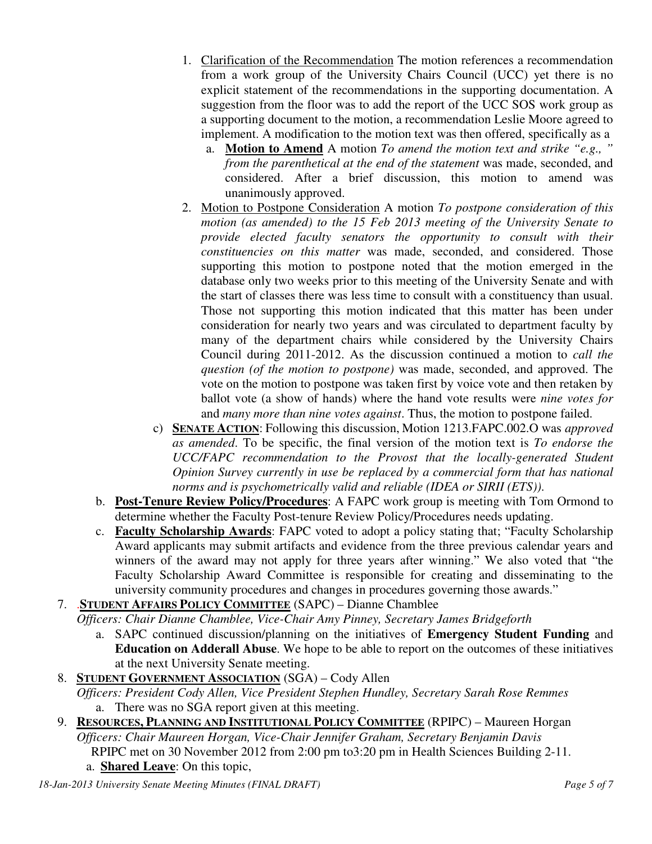- 1. Clarification of the Recommendation The motion references a recommendation from a work group of the University Chairs Council (UCC) yet there is no explicit statement of the recommendations in the supporting documentation. A suggestion from the floor was to add the report of the UCC SOS work group as a supporting document to the motion, a recommendation Leslie Moore agreed to implement. A modification to the motion text was then offered, specifically as a
	- a. **Motion to Amend** A motion *To amend the motion text and strike "e.g., " from the parenthetical at the end of the statement* was made, seconded, and considered. After a brief discussion, this motion to amend was unanimously approved.
- 2. Motion to Postpone Consideration A motion *To postpone consideration of this motion (as amended) to the 15 Feb 2013 meeting of the University Senate to provide elected faculty senators the opportunity to consult with their constituencies on this matter* was made, seconded, and considered. Those supporting this motion to postpone noted that the motion emerged in the database only two weeks prior to this meeting of the University Senate and with the start of classes there was less time to consult with a constituency than usual. Those not supporting this motion indicated that this matter has been under consideration for nearly two years and was circulated to department faculty by many of the department chairs while considered by the University Chairs Council during 2011-2012. As the discussion continued a motion to *call the question (of the motion to postpone)* was made, seconded, and approved. The vote on the motion to postpone was taken first by voice vote and then retaken by ballot vote (a show of hands) where the hand vote results were *nine votes for* and *many more than nine votes against*. Thus, the motion to postpone failed.
- c) **SENATE ACTION**: Following this discussion, Motion 1213.FAPC.002.O was *approved as amended*. To be specific, the final version of the motion text is *To endorse the UCC/FAPC recommendation to the Provost that the locally-generated Student Opinion Survey currently in use be replaced by a commercial form that has national norms and is psychometrically valid and reliable (IDEA or SIRII (ETS))*.
- b. **Post-Tenure Review Policy/Procedures**: A FAPC work group is meeting with Tom Ormond to determine whether the Faculty Post-tenure Review Policy/Procedures needs updating.
- c. **Faculty Scholarship Awards**: FAPC voted to adopt a policy stating that; "Faculty Scholarship Award applicants may submit artifacts and evidence from the three previous calendar years and winners of the award may not apply for three years after winning." We also voted that "the Faculty Scholarship Award Committee is responsible for creating and disseminating to the university community procedures and changes in procedures governing those awards."

# 7. .**STUDENT AFFAIRS POLICY COMMITTEE** (SAPC) – Dianne Chamblee

*Officers: Chair Dianne Chamblee, Vice-Chair Amy Pinney, Secretary James Bridgeforth*

- a. SAPC continued discussion/planning on the initiatives of **Emergency Student Funding** and **Education on Adderall Abuse**. We hope to be able to report on the outcomes of these initiatives at the next University Senate meeting.
- 8. **STUDENT GOVERNMENT ASSOCIATION** (SGA) Cody Allen *Officers: President Cody Allen, Vice President Stephen Hundley, Secretary Sarah Rose Remmes* a. There was no SGA report given at this meeting.
- 9. **RESOURCES, PLANNING AND INSTITUTIONAL POLICY COMMITTEE** (RPIPC) Maureen Horgan *Officers: Chair Maureen Horgan, Vice-Chair Jennifer Graham, Secretary Benjamin Davis* 
	- RPIPC met on 30 November 2012 from 2:00 pm to3:20 pm in Health Sciences Building 2-11.
	- a. **Shared Leave**: On this topic,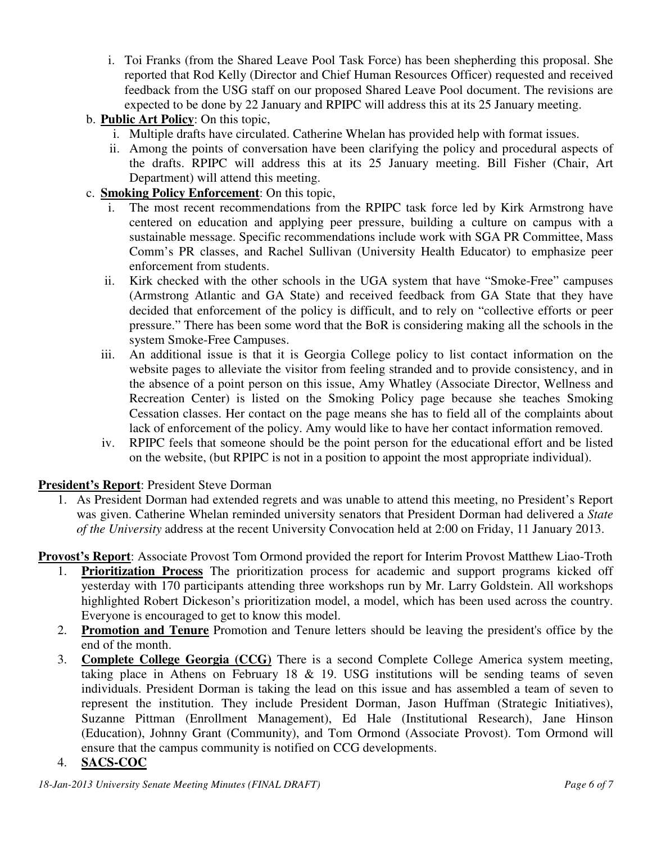- i. Toi Franks (from the Shared Leave Pool Task Force) has been shepherding this proposal. She reported that Rod Kelly (Director and Chief Human Resources Officer) requested and received feedback from the USG staff on our proposed Shared Leave Pool document. The revisions are expected to be done by 22 January and RPIPC will address this at its 25 January meeting.
- b. **Public Art Policy**: On this topic,
	- i. Multiple drafts have circulated. Catherine Whelan has provided help with format issues.
	- ii. Among the points of conversation have been clarifying the policy and procedural aspects of the drafts. RPIPC will address this at its 25 January meeting. Bill Fisher (Chair, Art Department) will attend this meeting.
- c. **Smoking Policy Enforcement**: On this topic,
	- i. The most recent recommendations from the RPIPC task force led by Kirk Armstrong have centered on education and applying peer pressure, building a culture on campus with a sustainable message. Specific recommendations include work with SGA PR Committee, Mass Comm's PR classes, and Rachel Sullivan (University Health Educator) to emphasize peer enforcement from students.
	- ii. Kirk checked with the other schools in the UGA system that have "Smoke-Free" campuses (Armstrong Atlantic and GA State) and received feedback from GA State that they have decided that enforcement of the policy is difficult, and to rely on "collective efforts or peer pressure." There has been some word that the BoR is considering making all the schools in the system Smoke-Free Campuses.
	- iii. An additional issue is that it is Georgia College policy to list contact information on the website pages to alleviate the visitor from feeling stranded and to provide consistency, and in the absence of a point person on this issue, Amy Whatley (Associate Director, Wellness and Recreation Center) is listed on the Smoking Policy page because she teaches Smoking Cessation classes. Her contact on the page means she has to field all of the complaints about lack of enforcement of the policy. Amy would like to have her contact information removed.
	- iv. RPIPC feels that someone should be the point person for the educational effort and be listed on the website, (but RPIPC is not in a position to appoint the most appropriate individual).

### **President's Report**: President Steve Dorman

1. As President Dorman had extended regrets and was unable to attend this meeting, no President's Report was given. Catherine Whelan reminded university senators that President Dorman had delivered a *State of the University* address at the recent University Convocation held at 2:00 on Friday, 11 January 2013.

**Provost's Report**: Associate Provost Tom Ormond provided the report for Interim Provost Matthew Liao-Troth

- 1. **Prioritization Process** The prioritization process for academic and support programs kicked off yesterday with 170 participants attending three workshops run by Mr. Larry Goldstein. All workshops highlighted Robert Dickeson's prioritization model, a model, which has been used across the country. Everyone is encouraged to get to know this model.
- 2. **Promotion and Tenure** Promotion and Tenure letters should be leaving the president's office by the end of the month.
- 3. **Complete College Georgia (CCG)** There is a second Complete College America system meeting, taking place in Athens on February 18 & 19. USG institutions will be sending teams of seven individuals. President Dorman is taking the lead on this issue and has assembled a team of seven to represent the institution. They include President Dorman, Jason Huffman (Strategic Initiatives), Suzanne Pittman (Enrollment Management), Ed Hale (Institutional Research), Jane Hinson (Education), Johnny Grant (Community), and Tom Ormond (Associate Provost). Tom Ormond will ensure that the campus community is notified on CCG developments.

### 4. **SACS-COC**